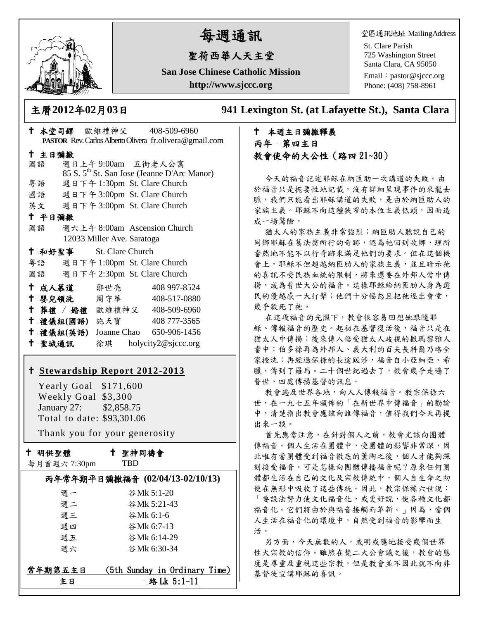

# 每週通訊

## 聖荷西華人天主堂

**San Jose Chinese Catholic Mission http://www.sjccc.org**

堂區通訊地址 MailingAddress

St. Clare Parish 725 Washington Street Santa Clara, CA 95050

Email: [pastor@sjccc.org](mailto:pastor@sjccc.org) Phone: (408) 758-8961

主曆**2012**年**02**月**03**日 **941 Lexington St. (at Lafayette St.), Santa Clara** 

## 本週主日彌撒釋義 丙年 第四主日 教會使命的大公性(路四 21~30)

今天的福音記述耶穌在納匝肋一次講道的失敗。由 於福音只是扼要性地記載,沒有詳細呈現事件的來龍去 脈,我們只能看出耶穌講道的失敗,是由於納匝肋人的 家族主義。耶穌不向這種狹窄的本位主義低頭,因而造 成一場驚險。

猶太人的家族主義非常強烈;納匝肋人聽說自己的 同鄉耶穌在葛法翁所行的奇跡,認為祂回到故鄉,理所 當然地不能不以行奇跡來滿足他們的要求。但在這個機 會上,耶穌不但超越納匝肋人的家族主義,並且暗示祂 的喜訊不受民族血統的限制,將來還要在外邦人當中傳 揚,成為普世大公的福音。這樣耶穌給納匝肋人身為選 民的優越感一大打擊;他們十分惱怒且把祂逐出會堂, 幾乎殺死了祂。

在這段福音的光照下,教會很容易回想她跟隨耶 穌、傳報福音的歷史。起初在基督復活後,福音只是在 猶太人中傳揚;後來傳入倍受猶太人歧視的撒瑪黎雅人 當中;伯多祿再為外邦人、義大利的百夫長科爾乃略全 家授洗;再經過保祿的長途跋涉,福音自小亞細亞、希 臘,傳到了羅馬。二十個世紀過去了,教會幾乎走遍了 普世,四處傳揚基督的訊息。

教會遍及世界各地,向人人傳報福音。教宗保祿六 世,在一九七五年頒佈的「在新世界中傳福音」的勸諭 中,清楚指出教會應該向誰傳福音,值得我們今天再提 出來一談。

首先應當注意,在針對個人之前,教會尤該向團體 傳福音。個人生活在團體中,受團體的影響非常深,因 此唯有當團體受到福音徹底的薰陶之後,個人才能夠深 刻接受福音。可是怎樣向團體傳播福音呢?原來任何團 體都生活在自己的文化及宗教傳統中,個人自生命之初 便在無形中吸收了這些傳統。因此,教宗保祿六世說: 「要設法努力使文化福音化,或更好說,使各種文化都 福音化。它們將由於與福音接觸而革新。」因為,當個 人生活在福音化的環境中,自然受到福音的影響而生 活。

另方面,今天無數的人,或明或隱地接受幾個世界 性大宗教的信仰。雖然在梵二大公會議之後,教會的態 度是尊重及重視這些宗教,但是教會並不因此就不向非 基督徒宣講耶穌的喜訊。

| <b>PASTOR</b> Rev. Carlos Alberto Olivera fr. olivera @ gmail.com |        |                         |                            |  |                                                         |  |
|-------------------------------------------------------------------|--------|-------------------------|----------------------------|--|---------------------------------------------------------|--|
| 十 主日彌撒                                                            |        |                         |                            |  |                                                         |  |
|                                                                   | 國語     |                         |                            |  | 週日上午9:00am 五街老人公寓                                       |  |
|                                                                   |        |                         |                            |  | 85 S. 5 <sup>th</sup> St. San Jose (Jeanne D'Arc Manor) |  |
|                                                                   | 粤語     |                         |                            |  | 週日下午 1:30pm St. Clare Church                            |  |
|                                                                   |        |                         |                            |  | 國語 週日下午 3:00pm St. Clare Church                         |  |
|                                                                   |        |                         |                            |  | 英文 週日下午 3:00pm St. Clare Church                         |  |
| 十 平日彌撒                                                            |        |                         |                            |  |                                                         |  |
|                                                                   | 國語     |                         |                            |  | 週六上午 8:00am Ascension Church                            |  |
|                                                                   |        |                         | 12033 Miller Ave. Saratoga |  |                                                         |  |
|                                                                   |        | † 和好聖事 St. Clare Church |                            |  |                                                         |  |
|                                                                   |        |                         |                            |  | 粵語   週日下午 1:00pm St. Clare Church                       |  |
|                                                                   |        |                         |                            |  | 國語 週日下午 2:30pm St. Clare Church                         |  |
|                                                                   |        | ← 成人慕道   鄒世亮            |                            |  | 408 997-8524                                            |  |
|                                                                   |        | ← 嬰兒領洗 周守華 →            |                            |  | 408-517-0880                                            |  |
|                                                                   |        |                         |                            |  | † 葬禮 / 婚禮 歐維禮神父 408-509-6960                            |  |
|                                                                   |        | 十 禮儀組(國語) 施天寶           |                            |  | 408 777-3565                                            |  |
|                                                                   |        | 十 禮儀組(英語)               |                            |  | Joanne Chao 650-906-1456                                |  |
|                                                                   | 十 聖城通訊 |                         |                            |  | 徐琪 holycity2@sjccc.org                                  |  |

本堂司鐸 歐維禮神父 408-509-6960

#### **[Stewardship Report 2012-2013](http://sjccc.org/index.php/finance.html?src=bulletin112512)**

 Yearly Goal \$171,600 Weekly Goal \$3,300 January 27: \$2,858.75 Total to date: \$93,301.06

Thank you for your generosity

十 明供聖體

聖神同禱會

| 每月首週六7:30pm |
|-------------|
|-------------|

TBD

|         | 丙年常年期平日彌撒福音 (02/04/13-02/10/13) |
|---------|---------------------------------|
| 週一      | 谷Mk 5:1-20                      |
| 週二      | 谷Mk 5:21-43                     |
| 週三      | 谷Mk 6:1-6                       |
| 週四      | 谷Mk 6:7-13                      |
| 週五      | 谷Mk 6:14-29                     |
| 调六      | 谷Mk 6:30-34                     |
| 常年期第五主日 | (5th Sunday in Ordinary Time)   |
| ŧΒ      | 路 Lk 5:1-11                     |